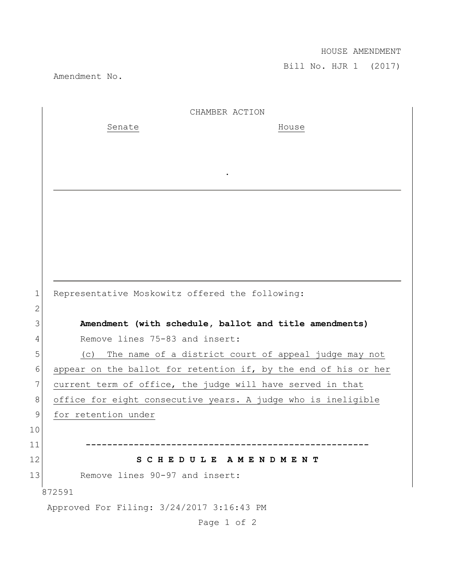## HOUSE AMENDMENT

Bill No. HJR 1 (2017)

Amendment No.

|                | CHAMBER ACTION                                                  |
|----------------|-----------------------------------------------------------------|
|                | Senate<br>House                                                 |
|                |                                                                 |
|                |                                                                 |
|                |                                                                 |
|                |                                                                 |
|                |                                                                 |
|                |                                                                 |
|                |                                                                 |
|                |                                                                 |
|                |                                                                 |
| $\mathbf 1$    | Representative Moskowitz offered the following:                 |
| $\overline{2}$ |                                                                 |
| 3              | Amendment (with schedule, ballot and title amendments)          |
| 4              | Remove lines 75-83 and insert:                                  |
| 5              | The name of a district court of appeal judge may not<br>(C)     |
| 6              | appear on the ballot for retention if, by the end of his or her |
| $7\phantom{.}$ | current term of office, the judge will have served in that      |
| 8              | office for eight consecutive years. A judge who is ineligible   |
| $\mathsf 9$    | for retention under                                             |
| $10$           |                                                                 |
| 11             |                                                                 |
| 12             | SCHEDULE AMENDMENT                                              |
| 13             | Remove lines 90-97 and insert:                                  |
|                | 872591                                                          |
|                | Approved For Filing: 3/24/2017 3:16:43 PM                       |
|                |                                                                 |

Page 1 of 2